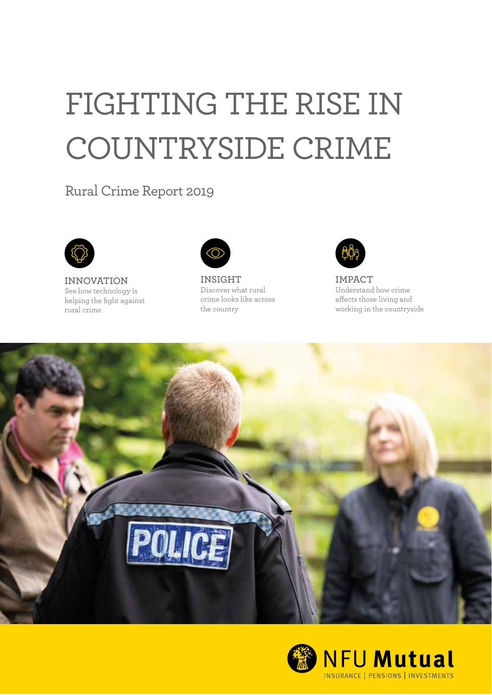## FIGHTING THE RISE IN COUNTRYSIDE CRIME

Rural Crime Report 2019



**INNOVATION INSIGHT IMPACT**<br>
See how technology is **Discover what rural** Understand how crime See how technology is Discover what rural Understand how crime helping the fight against crime looks rural crime<br>the country





working in the countryside



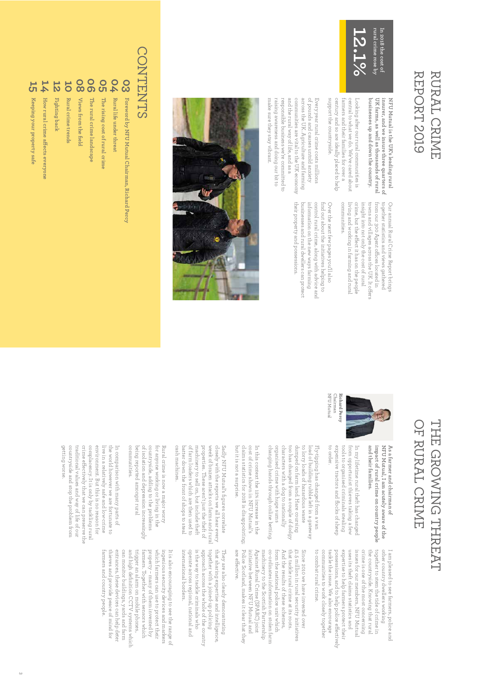### **REPORT 2019** REPORT RURAL CRIME RURAL CRIME



**businesses up and down the country.**  UK farms, as well as thousands of rural **UK farms, as well as thousands of rural**  insurer, and we insure three quarters of **insurer, and we insure three quarters of**  NFU Mutual is the UK's leading rural **NFU Mutual is the UK's leading rural**  businesses up and down the country.

support the countryside. support the countryside. century and so are ideally placed to help century and so are ideally placed to help farmers and their families for over a farmers and their families for over a central to what we do. We've cared about central to what we do. We've cared about Looking after our rural communities is Looking after our rural communities is

make sure they stay vibrant make sure they stay vibrant. raising awareness and doing our bit to raising awareness and doing our bit to responsible business we're committed to responsible business we're committed to and the rural way of life, and as a and the rural way of life, and as a communities are vital to the UK economy communities are vital to the UK economy across the UK. Agriculture and farming across the UK. Agriculture and tarming of pounds and causes untold anxiety of pounds and causes untold anxiety Every year rural crime costs millions Every year rural crime costs millions

> living and working in farming and rural crime, but the effect it has on the people trom our 300 Agent offices located in together statistics and views gatherec communities. communities. living and working in farming and rural crime, but the e insight into not only the cost of rural insight into not only the cost of rural towns and villages across the UK. It ofrom our 300 Agent o together statistics and views gathered Our annual Rural Crime Report brings Our annual Rural Crime Report brings ect it has on the people ces located in fers

their property and possessions their property and possessions. businesses and rural dwellers can protect businesses and rural dwellers can protect information on the new ways farming information on the new ways farming control rural crime, along with advice and control rural crime, along with advice and find out about the initiatives helping to Over the next few pages you'll also find out about the initiatives helping to Over the next tew pages you'll also



### **CONTENTS** CONTENTS

- **03** Foreword by NFU Mutual Chairman, Richard Percy **Foreword by NFU Mutual Chairman, Richard Percy**
- **04** Rural life under threat **Rural life under threat**
- 
- **05 06 The rising cost of rural crime**
- **The rural crime landscape**
- **08** Views from the field **Views from the field**
- 
- **10** Rural crime trends **Rural crime trends**
- 
- **12** Fighting back **Fighting back**
- **14 How rural crime a**
- Keeping your property sate **Keeping your property safe**
- 
- **15**
	-
	-
	-
	-
	-
	- How rural crime affects everyone
	- **ects everyone**
	- -

## OF RURAL CRIME THE GROWING THREAT OF RURAL CRIME THE GROWING THREAT



NFU Mutual Chairman Richard Percy NFU Mutual Chairman

to order.

to

combat rural

crime.

and their families. impact of rural crime on country people NFU Mutual, I am acutely aware of the As a farmer and chairman of **and their families. impact of rural crime on country people NFU Mutual, I am acutely aware of the As a farmer and chairman of** 

expensive tractors and flocks of sheep tools to organised criminals stealing In my litetime rural theft has changec expensive tractors and flocks of sheep tools to organised criminals stealing irom opportunist thieves taking a few from opportunist thieves taking a few In my lifetime rural theft has changed

changing hands through online betting organised crime with huge sums characters with a dog to nationally too has changed from a couple of dodgy dumped on farm land. Hare coursing to lorry loads of hazardous waste changing hands through online betting. organised crime with huge sums characters with a dog to nationally too has changed from a couple of dodgy dumped on farm land. Hare coursing to lorry loads of hazardous waste load of building rubble lett in a gateway load of building rubble left in a gateway Fly-tipping has changed from a van ly-tipping has changed from a van

but it is not a surprise. cost of crime shown in NFU Mutual's In this context the 12% increase in the but it is not a surprise. claims statistics for 2018 is disappointing; claims statistics for 2018 is disappointing; cost of crime shown in NFU Mutual's In this context the 12% increase in the

cash machines. of farm loaders which are then used to closely with the reports we all hear every cash machines. batter down the front of shops to stea. batter down the front of shops to steal of farm loaders which are then used to machinery to sell on, but include theft machinery to sell on, but include theft properties. These aren't just the theft of properties. These aren't just the theft of week of brazen attacks on farms and rural week of brazen attacks on farms and rural closely with the reports we all hear every Sadly NFU Mutual's figures correlate Sadly NFU Mutual's figures correlate

communities being reported amongst rural countryside, adding to the problems<br>of isolation and depression increasingly for anyone working or living in the communities. being reported amongst rural countryside, adding to the problems for anyone working or living in the Rural crime is now a major worry Rural crime is now a major worry isolation and depression increasingly

getting worse countryside and stop the problem trom traditional values and way of life of our complacency. It is only by tackling rural environment. But this is no reason for live in a relatively safe and low-crime the world however we are fortunate to In comparison with many parts of getting worse. countryside and stop the problem from traditional values and way of life of our crime e fcomplacency. It is only by tackling rural environment. But this is no reason for live in a relatively safe and low-crime the world however we are fortunate to In comparison with many parts of ectively that we can preserve the

farmers and country people

expertise to help farmers protect their together to stem the tide of crime in other country dwellers working uses its theft claims statistics and issues for our members, NFU Mutual crime is one of the most concerning the countryside. Knowing that rural communities to work closely together communities to work closely together tackle the issue. We also encourage tackle the issue. We also encourage possessions, and to help police e expertise to help farmers protect their uses its theft claims statistics and issues for our members, NFU Mutual crime is one of the most concerning together to stem the tide of crime in other country dwellers working I am pleased to see farmers, police anc I am pleased to see farmers, police countryside. Knowing that rural fectively

Police Scotland, makes it clear that they co-ordinates information on stolen farm that tackle rural crime at its roots. £1.5 million in rural security initiatives Since 2010 we have invested over are e fective. Police Scotland, makes it clear that they initiative between NFU Mutual and initiative between NFU Mutual and Against Rural Crime (SPARC) joint Against Rural Crime (SPARC) joint machinery to the Scottish Partnership machinery to the Scottish Partnership co-ordinates information on stolen farm trom the national police unit which from the national police unit which And the results of these schemes that tackle rural crime at its roots. £1.5 million in rural security initiatives Since 2010 we have invested over the results of these schemes,

approach across the whole of the country<br>is the way to tackle criminals who together with a joined-up policing operate across regional, national and that sharing expertise and intelligence, international borders. international borders. operate across regional, national and is the way to tackle criminals who approach across the whole of the country together with a joined-up policing that sharing expertise and intelligence, They are also clearly demonstrating They are also clearly demonstrating

thieves and provide peace of mind for trigger an alarm on mobile phones, farmers. Together with sensors which farmers and country people. thieves and provide peace of mind for entrances, these devices can help deter entrances, these devices can help deter can monitor buildings, yards and tarm can monitor buildings, yards and farm and high definition CCTV systems which trigger an alarm on mobile phones, farmers. Together with sensors which property - many of them invented by property – many of them invented by which farmers can use to protect their which farmers can use to protect their ingenious security devices and markers ingenious security devices and markers It is also encouraging to see the range o: It is also encouraging to see the range of high definition CCTV systems which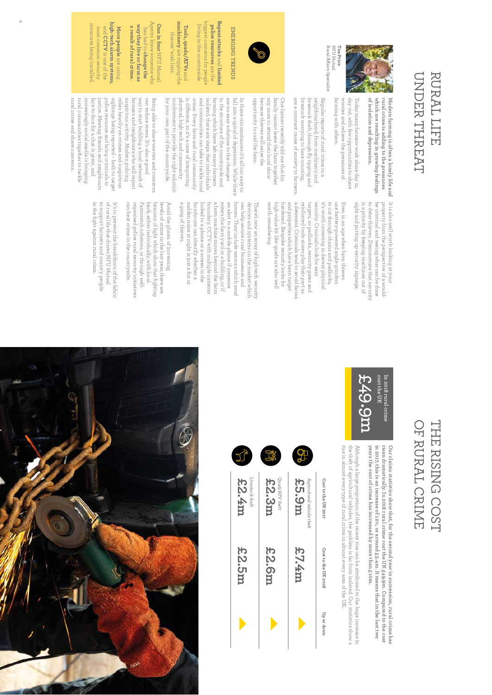### UNDER THREAT UNDER THREAT RURAL LIFE RURAL LIFE



Today many farmers work alone day in,

sight and putting up security signage.

Today many farmers work alone day in,

**of isolation and depression.** 

**rural crime is adding to the pressures** 

NFU Mutual Rural A fNFU Mutual Tim Price **Tim Price** airs Specialist tarming with others. worries and relieve the pressures of day out, with tew opportunities to share farming with others. worries and relieve the pressures of day out, with few opportunities to share

Regular reports of rural crime in a are a livestock worrying to hare coursing, livestock worrying to hare coursing, livestock theft, through fly tipping and livestock theft, through fly tipping and neighbourhood, from machinery and neighbourhood, from machinery and Regular reports of rural crime in a constant cause of anxiety to farmers.

opportunity to raid the farm. because thieves will seize the any more to attend their local show One farmer recently told me that his opportunity because thieves will seize the any more to attend their local show tamily cannot leave the tarm together family cannot leave the farm together One farmer recently told me that his to raid the farm.

**EMERGING TRENDS** 

EMERGING TRENDS

**Repeat attacks**

**police resources**police resources are the biggest concerns for people

**Tools, quads/ATVs** living in the countryside. Tools, quads/ATVs and **machinery** are topping the thieves' wish lists.

IIVING In the countryside ordoad aou sua aou beobro

machinery are topping the

thieves' wish lists

**One in four**

NFU Mutual Agents know someone who has had to

**change the way they live or farm as**

has had to change the

**a result of rural crime.**

a result of rural crime.

way they live or farm as Agents know someone wh **One in four NFU Mutua** 

 and **limited**

physical, high-tech and community crime. Every farm and rural community and communities can take to tackle rural isolated, there are steps that individuals tarming which have left many farmers in the structure of the countryside and are no easy solutions to the changes fall into a spiral of depression. While there In these circumstances it's all too easy to for your own part of the countryside. for your own part of the countryside. involvement to provide the right solution involvement to provide the right solution physical, high-tech and community is di fcrime. Every farm and rural community and communities can take to tackle rural isolated, there are steps that individuals farming which have left many farmers in the structure of the countryside and are no easy solutions to the changes fall into a spiral of depression. While In these circumstances it's all too easy to erent, so it's a case of integrating

rural communities together to tackle increasingly social media is bringing police resource and bring criminals to sightings being reported - both to target relies heavily on crimes and suspicious suspicious activity. Modern policing farmers and neighbours who will report way to start building a local network of can reduce stress. It's also a good Being able to share worries and concerns rural communities together to tackle increasingly social media is bringing face-to-face for a chat is great, and face-to-face for a chat is great, and justice. Meeting triends and neighbours justice. Meeting friends and neighbours police resource and bring criminals to sightings being reported – both to target relies heavily on crimes and suspicious suspicious activity. Modern policing farmers and neighbours who will report way to start building a local network of can reduce stress. It's also a good Being able to share worries and concerns

which are resulting in growing feelings Modern farming is often a lonely life and It is also well worth looking at your **which are resulting in growing feelings Modern farming is often a lonely life and**  be criminal and seeing what can be done is a priority by keeping machines out of to deter thieves. Demonstrate that security property from the perspective of a wouldsight and putting up security signage. is a priority by keeping machines out of to deter thieves. Demonstrate that security be criminal and seeing what can be done property from the perspective of a would-It is also well worth looking at your

a deterrent. Criminals tend to avoid farms worth considering worth considering. high-value kit like quads are also well high-value kit like quads are also well hardened. Bespoke security locks for and properties which have been target and properties which have been target reinforced tools stores play their part as reinforced tools stores play their part as targets, so padlocks, security gates and targets, so security. Criminals look tor easy security. Criminals look for easy it's worth investing in decent physical to cut through chains and padlocks, to cut through chains and padlocks use battery-powered angle grinders use battery-powered angle grinders Even in an age when tarm thieves Even in an age when farm thieves hardened. Bespoke security locks for deterrent. Criminals tend to avoid farms worth investing in decent physical padlocks, security gates and

enters the farm yard or a building, or if an alert to a mobile phone if someone homes. They include sensors which send can help secure rural businesses and a gang of thieves. a gang of thieves. sudden noise at might is just a fox or sudden noise at night is just a fox or farm house can identify whether a farmhouse can identify whether a linked to a phone or a screen in the linked to a phone or a screen in the boundary. CCTV with multiple cameras boundary. CCTV with multiple cameras a tarm machine moves beyond the tarm a farm machine moves beyond the farm enters the farm yard or a building, or if an alert to a mobile phone if someone homes. They include sensors which send can help secure rural businesses and devices and systems on the market which devices and systems on the market which There's now an array of high-tech security There's now an array of high-tech security

can beat crime in the countryside can beat crime in the countryside. organised police rural security initiatives organised police rural security initiatives Farmwatch schemes, or through well-Farmwatch schemes, or through well back, either individually, with local back, either individually, with local beacons of light which show that fighting levels of crime in the last year, there are Amid the gloom of increasing Amid the gloom of increasing beacons of light which show that fighting levels of crime in the last year, there are

in the fight against rural crime. to support farmers and country people of rural life that drives NFU Mutual in the fight against rural crime. to support farmers and country people of rural life that drives NFU Mutual It's to prevent the breakdown of the fabric It's to prevent the breakdown of the fabric

### OF RURAL CRIME THE RISING COST OF RURAL CRIME THE RISING COST



years the cost of crime has increased by more than £10m. in 2017, this is an increase of 12%, or around £5.4m. It means that in the last two risen dramatically. In 2018 rural crime cost the UK £49.9m. Compared to the cost Our claims statistics show that, for the second year in succession, rural crime has **years the cost of crime has increased by more than £10m. in 2017, this is an increase of 12%, or around £5.4m. It means that in the last two risen dramatically. In 2018 rural crime cost the UK £49.9m. Compared to the cost Our claims statistics show that, for the second year in succession, rural crime has** 

rise in almost every type of rural crime in almost every area of the UK the theft of agricultural vehicles, the problem is far from isolated. Our statistics show a Although a large proportion of the recent rise can be attributed to the huge increase in rise in almost every type of rural crime in almost every area of the UK. the theft of agricultural vehicles, the problem is far from isolated. Our statistics show a Although a large proportion of the recent rise can be attributed to the huge increase in





and

most common security measures being installed.

most common security

measures being installec

rural

crime

and share concerns.

**More people**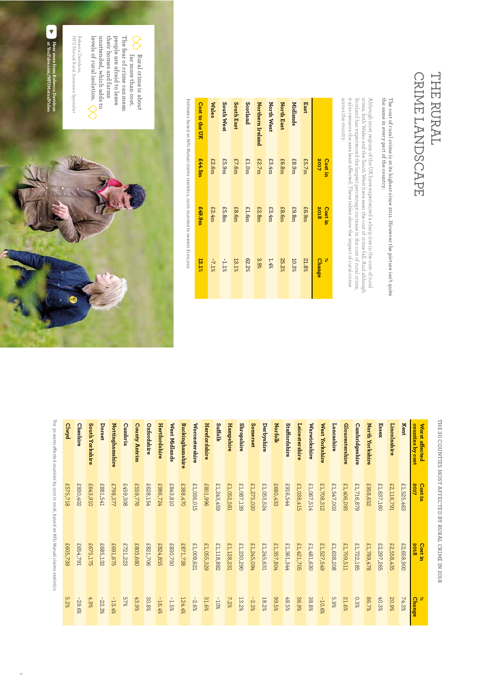### THE RURAL CRIME LANDSCAPE CRIME LANDSCAPE THE RURAL

## The cost of rural crime is at its highest since 2011. However the picture isn't quite the same in every part of the country. **the same in every part of the country. The cost of rural crime is at its highest since 2011. However the picture isn't quite**

Although most regions of the UK have experienced a sharp rise in the cost of rural crime, both Wales and the South West have seen the cost of crime fall. And although corring, both Wales and the South West have seen the co across the country. across the country. it also remains the area least a Scotland has experienced the largest percentage increase in the cost of rural crime, crime, both Wales and the South West have seen the cost of crime fall. And although Although most regions of the UK have experienced a sharp rise in the cost of rural ected. These tables show the impact of rural crime

|                       | 2017<br><b>Cost in</b> | <b>2018</b><br><b>Cost in</b> | $\aleph$<br><b>Change</b> |
|-----------------------|------------------------|-------------------------------|---------------------------|
| East                  | £5.7m                  | £6.9m                         | 21.8%                     |
| Midlands              | £8.9m                  | £9.8m                         | 10.3%                     |
| North East            | £6.8m                  | £8.6m                         | 25.2%                     |
| North West            | £3.4m                  | £3.4m                         | 1.4%                      |
| Northern Ireland      | £2.7m                  | E2.8m                         | 3.9%                      |
| Scotland              | £1.0m                  | £1.6m                         | 62.2%                     |
| South East            | £7.6m                  | £8.6m                         | 13.1%                     |
| South West            | £5.9m                  | £5.8m                         | $-1.1\%$                  |
| Wales                 | £2.6m                  | £2.4m                         | $-7.1\%$                  |
| <b>Cost to the UK</b> | £44.5m                 | m <sub>6</sub> :673           | 12.1%                     |
|                       |                        |                               |                           |

Estimates based on NFU Mutual claims statistics, costs rounded to nearest £100,000 Estimates based on NFU Mutual claims statistics, costs rounded to nearest £100,000



## **THE 30 COUNTIES MOST AFFECTED BY RURAL CRIME IN 2018**

| Kent<br>counties by cost<br>Worst affected | 2017<br>£1,525,463<br><b>Cost in</b> | £2,658,900<br><b>2018</b><br>Cost in | 74.3%<br>Change |
|--------------------------------------------|--------------------------------------|--------------------------------------|-----------------|
| Lincolnshire<br>Essex                      | £1,637,160<br>£2,116,791             | £2,297,265<br>£2,558,435             | 40.3%<br>20.9%  |
| North Yorkshire                            | £958,652                             | £1,789,478                           | 86.7%           |
| Cambridgeshire                             | £1,716,879                           | £1,722,185                           | 0.3%            |
| Gloucestershire                            | £1,406,093                           | £1,709,511                           | 21.6%           |
| Lancashire                                 | £1,547,003                           | £1,638,208                           | 5.9%            |
| West Yorkshire                             | £1,708,312                           | £1,527,549                           | $-10.6%$        |
| Warwickshire                               | £1,067,514                           | £1,481,630                           | 38.8%           |
| Leicestershire                             | £1,038,415                           | £1,421,705                           | 36.9%           |
| <b>Staffordshire</b>                       | £916,544                             | £1,361,344                           | 48.5%           |
| <b>Norfolk</b>                             | £680,433                             | £1,357,804                           | 89.5%           |
| Derbyshire                                 | £1,053,524                           | £1,245,631                           | 18.2%           |
| Somerset                                   | £1,275,020                           | £1,245,094                           | $-2.3%$         |
| Shropshire                                 | £1,087,139                           | £1,230,290                           | 13.2%           |
| Hampshire                                  | £1,052,581                           | £1,128,231                           | 7.2%            |
| Suffolk                                    | £1,243,459                           | £1,118,882                           | $-10%$          |
| Herefordshire                              | £801,996                             | £1,055,329                           | 31.6%           |
| Worcestershire                             | £1,036,015                           | £1,008,621                           | $-2.6%$         |
| Buckinghamshire                            | £388,470                             | £871,738                             | 124.4%          |
| West Midlands                              | £843,810                             | £830,750                             | $-1.5%$         |
| Hertfordshire                              | £986,724                             | £824,855                             | $-16.4%$        |
| Oxfordshire                                | £628,154                             | £821,706                             | 30.8%           |
| <b>County Antrim</b>                       | £559,776                             | £805,680                             | 43.9%           |
| Cumbria                                    | £459,308                             | £721,223                             | 27%             |
| Nottinghamshire                            | £798,377                             | £691,675                             | $-13.4%$        |
| Dorset                                     | £881,541                             | £685,132                             | $-22.3%$        |
| South Yorkshire                            | £643,910                             | £675,175                             | $4.9\%$         |
| <b>Cheshire</b>                            | £930,402                             | £654,791                             | $-29.6%$        |
| <b>Clwyd</b>                               | £575,718                             | £605,739                             | 5.2%            |
|                                            |                                      |                                      |                 |

The 30 worst aThe 30 worst affected counties by cost in 2018, based on NFU Mutual claims statistics ected counties by cost in 2018, based on NFU Mutual claims statistics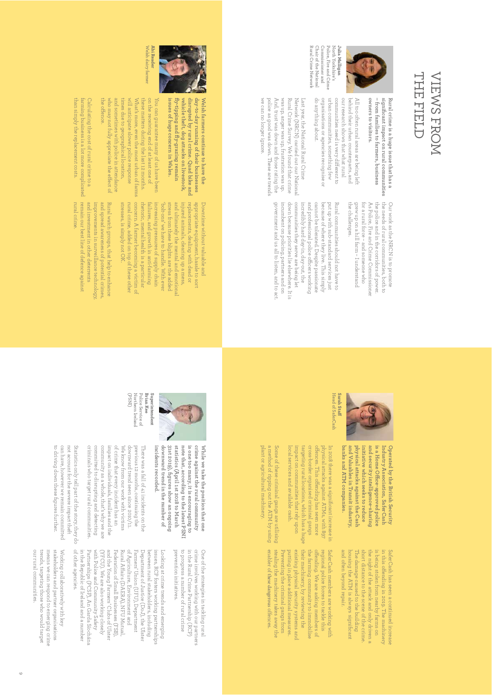### THE FIELD THE FIELD **VIEWS FROM** VIEWS FROM



Rural Crime Network Chair of the National Commissioner and North Yorkshire's<br>Police, Fire and Crime Rural Crime Network Chair of the National Commissioner and Police, Fire and Crime North Yorkshire's

do anything about.

anything about.

organisations or agencies recognise or urban communities, something few

organisations or agencies recognise or

urban communities, something tew our research shows that what rural behind their urban counterparts, and All too otten rural areas are being lett

communities need is very di our research shows that what rural behind their urban counterparts, and All too often rural areas are being left

communities need is very different to

erent to

police as good was down. These are trends And, trust was down and those rating the was up, anger was up, frustration was up. Rural Crime Survey. We found that crime we can no longer ignore. we can no longer ignore. police as good was down. These are trends And, trust was down and those rating the was up, anger was up, frustration was up. Rural Crime Survey. We found that crime Network (NRCN) carried out our National Network (NRCN) carried out our Nationa Last year, the National Rural Crime Last year, the National Rural Crime

> the needs of rural communities, both to Our work as the NRCN is to promote grew up on a hill tarm - I understand the police and in the corridors of power. grew up on a hill farm – I understand tor a rural torce - and someone who for a rural force – and someone who As Police, Fire and Crime Commissioner the police and in the corridors of power. the needs of rural communities, both to Our work as the NRCN is to promote

**– significant impact on rural communities Rural crime is a huge issue that has a from families to farmers, business**

significant impact on rural communities

Rural crime is a huge issue that has a

**owners to visitors.**

owners to visitors.

government and us all to listen, and to act government and us all to listen, and to act. incumbent on policing, partners and on incumbent on policing, partners and on communities they serve are being let communities they serve are being let incredibly hard day-in, day-out, the and professional police o put up with sub-standard services just put up with sub-standard services just Rural communities should not have to Rural communities should not have to incredibly hard day-in, day-out, the



down because priorities lie elsewhere. It is down because priorities lie elsewhere. It and protessional police officers working cannot be tolerated. Despite passionate because of where they live. This simply cannot be tolerated. Despite passionate because of where they live. This simply cers working



Head of SaferCas] Head of SaferCash Sarah Sta<del>il</del> **Sarah Sta**

> initiative which seeks to reduce and security intelligence-sharing is a Home Office-approved police Industry Association, SaferCash Operated by the British Security **banks** and Valuables in Transit industry **physical initiative and security intelligence-sharing is a Home O Industry Association, SaferCash Operated by the British Security Valuables in Transit industry, and ATM companies. attacks against the Cash which seeks to reduce ce-approved police**

In 2018 there was a significant increase in local services and available cash local services and available cash. impact on communities that rely upon impact on communities that rely upon targeting rural locations, which has a huge targeting rural locations, which has a huge cross-border organised criminal gangs cross-border organised criminal gangs o fohysical attacks against ATMs, with 897 physical attacks against ATMs, with 897 In 2018 there was a significant increase in ences. This oending has seen more

plant or agricultural machinery. a method of ripping out the ATM by using Some of these criminal gangs are utilising

Some of these criminal gangs are utilising

plant or agricultural machinery. a method of ripping out the ATM by using

> in this ofending in 2019. The machinery is being stolen from nearby farms the night of the attack and only driven a short distance to the of the crime. The damage caused to the building housing the ATM is always significant and often beyond repair.

SaferCash

has seen a

continued

increase

SaferCash members working with regional police forces to tackle this ofending. **Ne** asking members the farming community immobilise their machinery, by reviewing the existing physical security systems and putting in place additional measures. Preventing the criminal gangs from stealing the machinery takes away the enabler of these dangerous offences.



**issues of huge concern in Wales. fly-tipping and fly-grazing remain vehicle theft, dog attacks on livestock, disrupted by rural crime. Quad bike and day-to-day running of their businesses Welsh farmers continue to have the** 

issues of huge concern in Wales.

fly-tipping and fly-grazing remain vehicle theft, dog attacks on livestock,

day-to-day running of their businesses<br>disrupted by rural crime. Quad bike and Welsh farmers continue to have the

Welsh dary farmer Abi Reader Welsh dairy farmer **Abi Reader**

and sometimes with police in attendance times due to geographical location, these matters during the last 12 months. on the receiving end of at least one of the ofence. who may not fully appreciate the etimes due to geographical location, will anticipate slower police response will anticipate slower police response What's more, even the most urban of farms What's more, even the most urban of farms these matters during the last 12 months. on the receiving end of at least one of You can guarantee many of us have been You can guarantee many of us have been sometimes with police in attendance fect of

than simply the replacement costs. Calculating the cost of rural crime to a than simply the replacement costs. farming business is a lot more complicated farming business is a lot more complicated Calculating the cost of rural crime to a

> concern. A tarmer becoming a victim of stresses, is simply not OK. stresses, is simply not OK. rural crime, added on top of these other rural crime, added on top of these other concern. A rhetoric, mental health is a particular rhetoric, mental health is a particular failures, and growth in anti-tarming failures, and increasing pressures of supply chain 'bolt-ons' we have to handle. With ever stress from these blights are the added stress from these blights are the added and ultimately the mental and emotional injured animals, clearing up a mess, injured animals, clearing up a mess, replacements, dealing with dead or replacements, dealing with dead or appropriate equipment, hassle to sort appropriate equipment, hassle to sort Downtime without valuable and Downtime without valuable and nucreasing pressures of supply chain bolt-ons' we have to handle. With ever ultimately the mental and emotional farmer becoming a victim of growth in anti-farming

remain our best line of defence agains rural crime and investment in other deterrents Rural watch groups, that help to enhance rural crime. and investment in other deterrents improvements in surveillance technology improvements in surveillance technology, and spread awareness of potential crimes and spread awareness of potential crimes, Rural watch groups, that help to enhance our best line of defence against



Police Service of<br>Northern Ireland (PSNI) Northern Ireland Police Service of Brian Kee **Brian Kee Superintendent**  Superintendent

> 31st 2019), hgures show an ongoing statistics (April 1st 2018 to March is one too many, it is encouraging to crime against the rural community incidents recorded. downward trend in the number of note that, according to the latest PSNI While we take the position that one **incidents recorded. downward trend in the number of 31st 2019), figures show an ongoing statistics (April 1st 2018 to March note that, according to the latest PSNI is one too many, it is encouraging to crime against the rural community While we take the position that one**

criminals who target rural communities committed to disrupting and detecting community as a whole, that's why we are impact on individuals, families and the of crime that every incident has an criminals who target rural communities. committed to disrupting and detecting community as a whole, that's why we are of crime that every incident has an We know trom our work with victims We know from our work with victims downward trend seen since 2010/11. downward trend seen since 2010/11 previous 12 months, continuing the previous 12 months, continuing the There was a fall of 41 incidents on the There was a fall of 41 incidents on the individuals, families and the

to driving down these figures further. can have, however we remain committed not account for the severe impact their Statistics only tell part of the story, they do to driving down these figures further. can have, however we remain committed not account for the severe impact theft Statistics only tell part of the story, they do

> prevention initiatives. to progress a number of rural crime in the Rural Crime Partnership (RCP) crime involves working with our partners prevention initiatives. to progress a number of rural crime in the Rural Crime Partnership (RCP) crime involves working with our partners One of the strategies in tackling rural One of the strategies in tackling rural

of other agencies Partnerships (PCSP), An Garda Síochána (YFCU). We are also working closely and the Young Farmers' Clubs of Ulster of Agriculture, Environment and in the Republic of Ireland and a number in the Republic of Ireland and a number Partnerships (PCSP), An Garda Síochána with Police and Community Safety with Police and Community Safety (YFCU). We are also working closely and the Young Farmers' Clubs of Ulster Federation of Small Businesses (FSB) Federation Rural A fof Agriculture, Environment and Farmers' Union (UFU), Department Farmers' Union (UFU), Department Department of Justice (DoJ), the Ulster Department of Justice (DoJ), the Ulster between rural stakeholders, including between rural stakeholders, including issues, RCP fosters working partnerships issues, RCP fosters working partnerships Looking at crime trends and emerging Looking at crime trends and emerging other agencies. airs (DAERA), NFU Mutual, of Small Businesses (FSB),

stakeholders and partner organisations our rural communities. trends, targeting those who would target means we can respond to emerging crime our rural communities. trends, targeting those who would target means we can respond to emerging crime stakeholders and partner organisations Working collaboratively with key Working collaboratively with key

9 8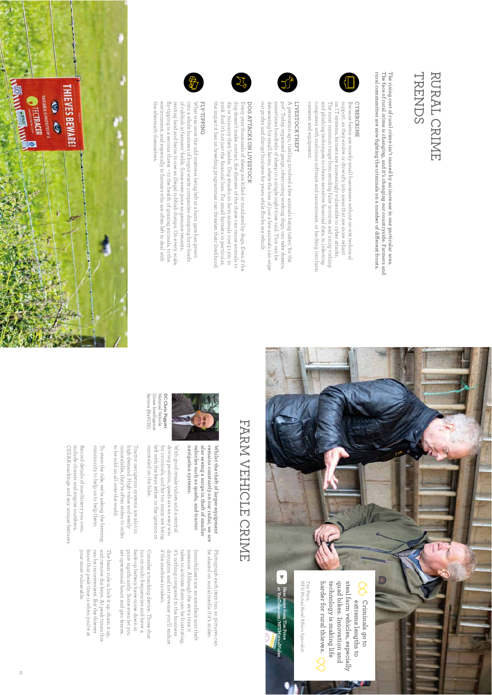

**rural communities are now fighting the criminals on a number of di The face of rural crime is changing, and it's changing our countryside. Farmers and The rising cost of rural crime isn't caused by an increase in one particular area.**  The rising cost of rural crime isn't caused by an increase in one particular area.<br>The face of rural crime is changing, and it's changing our countryside. Farmers and<br>rural communities are now fighting the criminals on a n **erent fronts.** 



cameras and equipment. computers with malicious software and ransomware, or hacking into farm and phishing techniques to obtain sensitive hnancial data, to infecting The most common range trom sending talse invoices and using vising printing on IT systems, farmers are increasingly vulnerable to cyber attacks support, as they evolve or diversity into areas that are more reliant Because farms are mostly small businesses without on-site technical cameras and equipment. computers with malicious software and ransomware, or hacking into farm and phishing techniques to obtain sensitive financial data, to infecting on IT systems, farmers are increasingly vulnerable to cyber attacks. support, as they evolve or diversify into areas that are more reliant Because farms are mostly small businesses without on-site technical most common range from sending false invoices and using vishing

### LIVESTOCK THEFT **LIVESTOCK THEFT**

out profits and disrupt business for years while flocks are rebuilt devastating for small farms, where the loss of just a few animals can wipe sometimes hundreds of sheep in a single night-time raid. This can be pot'. Today, organised gangs, often using working dogs, can take dozens. A generation ago, rustling involved a few animals being taken 'for the out profits and disrupt business for years while flocks are rebuilt. devastating for small farms, where the loss of just a few animals can wipe sometimes hundreds of sheep in a single night-time raid. This can be pot'. Today, organised gangs, often using working dogs, can take dozens, A generation ago, rustling involved a few animals being taken 'for the

## DOG ATTACKS ON LIVESTOCK **DOG ATTACKS ON LIVESTOCK**

the impact it has on breeding programmes can threaten their livelihooc 2018. And it's not just the hnancial loss. For small farmers in particular, die or miscarry their lambs. Dog attacks on farm animals cost £1.2m in dog doesn't make contact, the distress of the chase can cause animals to Every year thousands of sheep are killed or mutilated by dogs. Even if the 2018. And it's not just the financial loss. For small farmers in particular, die or miscarry their lambs. Dog attacks on farm animals cost £1.2m in dog doesn't make contact, the distress of the chase can cause animals to Every year thousands of sheep are killed or mutilated by dogs. Even if the impact it has on breeding programmes can threaten their livelihood.

### **FLY-TIPPING**

the aftermath themselves. environment, and especially to farmers who are often left to deal with fly-tipping is a serious threat - to the health of grazing animals, to the renting land and barns to use as illegal rubbish dumps. On every scale of rubbish in farmers' fields. Some even pose as genuine tenants, into a whole business of bogus waste companies during lorry-loads What was once the odd mattress being left at a farm gate has grown environment, and especially to farmers who are often left to deal with fly-tipping is a serious threat – to the health of grazing animals, to the What was once the odd mattress being left at a farm gate has grown rubbish in farmers' fields. Some even pose as genuine tenants, aftermath themselves. whole business of bogus waste companies dumping lorry-loads land and barns to use as illegal rubbish dumps. On every scale,





# FARM VEHICLE CRIME FARM VEHICLE CRIME



navigation systems. vehicles such as quads, and tractor also seeing a surge in theft of smaller With good resale values and a central With good resale values and a central **navigation systems. vehicles such as quads, and tractor also seeing a surge in theft of smaller** 

**remains constantly on our radar, we are Whilst the theft of larger equipment** 

remains constantly on our radar, we are Whilst the theft of larger equipment

concealed on the bike left with the keys either in the ignition or for criminals, and far too many are being driving position, quads are an easy win concealed on the bike. left with the keys either in the ignition or for criminals, and far too many are being driving position, quads are an easy win

Service (NaVCIS) Crime Intelligence National Vehicle **DC Chris Piggott** 

**DC Chris Piggott**<br>National Vehicle<br>Crime Intelligence Service (NaVCIS)

to be sold on all over the world. concealable, they're often stolen to order concealable, they're often stolen to order high demand. High value and easily high demand. High I ractor navigation systems are also in Tractor navigation systems are also in be sold on all over the world. value and easily

community to help us to help them: community to help us to help them: To stem the tide, we're asking the farming To stem the tide, we're asking the farming

include chassis and engine numbers, Record details of machinery you own, include chassis and engine numbers, Record details of machinery you own,

> be shared on social media if it's stolen. measure. Although the extra time it measure. Although the extra time it Immobilisers are an excellent anti-theit Immobilisers are an excellent anti-theft be shared on social media if it's stolen.

Photograph each item too, so pictures can

Photograph each item too, so pictures can

if the machine is taken disruption and lost revenue you'll endure if the machine is taken. disruption and lost revenue you'll endure it's nothing compared to the business it's nothing compared to the business takes to activate them can be irustrating takes to activate them can be frustrating,

set operational hours and geo fences back-up battery have come down in price significantly. Some even let you price significantly. Some even let you back-up battery have come down in run on multi frequencies and have a run on multi frequencies and have a Consider a tracking device. Those that Consider a tracking device. Those that operational hours and geo fences.

The basic rule is lock it up, chain it up,<br>and remove the keys. At peak times this your most vulnerable can be inconvenient. But the thieves know that peak time is when you're at can be inconvenient. But the thieves The basic rule is lock it up, chain it up, remove the keys. At peak times this most vulnerable. that peak time is when you're at

CESAR markings and any unique features CESAR markings and any unique features.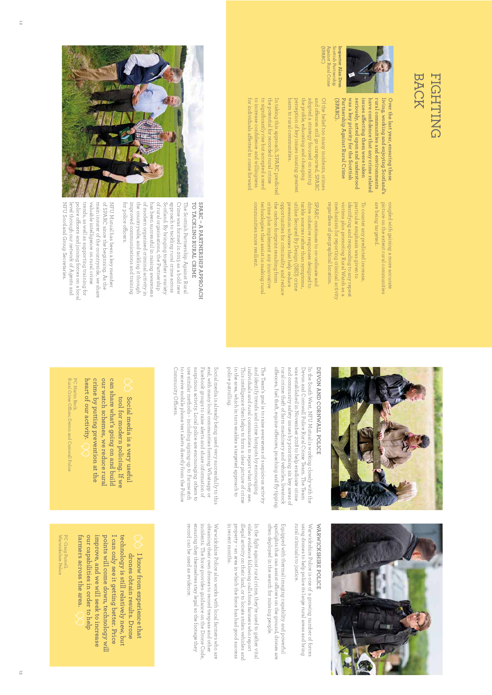### BACK **FIGHTING** FIGHTING



**issues a**

issues affecting them were taken **ecting them were taken** 

(SPARC) Against Rural Crime Scottish Partnership **Inspector Alan Dron** Against Rural Crime Inspector Alan Dron

**(SPARC).** 

**Partnership Against Rural Crime was a key priority for the Scottish seriously, acted upon and understood** 

Partnership Against Rural Crime

was a key priority for the Scottish

seriously, acted upon and understood

harm to rural communities. perception of key issues causing greatest the profile, educating and changing the profile, educating and changing adopted a strategy focused on raising and o fOf the belief too many incidents, crimes harm to rural communities. adopted a strategy focused on raising Of the belief too many incidents, crimes perception of key issues causing greatest ences still go unreported, SPARC

to significantly rise but accepted a need for individuals affected to come forward for individuals a to increase confidence and willingness to significantly rise but accepted a need the potential for recorded rural crime the potential for recorded rural crime In taking this approach, SPARC predicted In taking this approach, SPARC predicted increase confidence and willingness ected to come forward

have confidence that any crime related **have confidence that any crime related**  rural communities and environments **rural communities and environments**  living, working and enjoying Scotland's **living, working and enjoying Scotland's**  picture on the extent rural communities are being targeted. are being targeted. picture on the extent rural communities coupled with gaining a more accurate coupled with gaining a more accurate

**Over the last year, ensuring those** 

Over the last year, ensuring those

regardless of geographical location. mechanism for reporting criminal activity victims plus promoting Rural Watch as a victims plus promoting Rural Watch as a ndentitying and responding to any repeat identifying and responding to any repeat particular emphasis was given to particular emphasis was given to To counter any predicted increase To counter any predicted increase, regardless of geographical location. mechanism for reporting criminal activity

the carbon tootprint resulting trom communities more resilient communities more resilient. technologies that assist in making rura. technologies that assist in making rural crime plus implement any innovative crime plus implement any innovative the carbon footprint resulting from opportunities for criminality and reduce prevention schemes that help reduce utilise Secured By Design (SBD) crime utilise Secured By Design (SBD) crime tackle sources rather than symptoms. tackle sources rather than symptoms, drive cohesive responses designed to drive cohesive responses designed to SPARC continues to co-ordinate and SPARC continues to co-ordinate and oportunities for criminality and reduce prevention schemes that help reduce



for police officers.

### TO TACKLING RURAL CRIME **TO TACKLING RURAL CRIME SPARC – A PARTNERSHIP APPROACH**

of modern organised criminal activity in of rural organisations, the Partnership improved communications and training the countryside, and tackling it through Crime was formed in 2015 as a bold new improved communications and training the countryside, and tackling it through of modern organised criminal activity in has been successful in raising awareness has been successful in raising awareness of rural organisations, the Partnership Scotland. By bringing together a variety Scotland. By bringing together a variety approach to tackling rural crime across approach to tackling rural crime across Crime was formed in 2015 as a bold new The Scottish Partnership Against Rural The Scottish Partnership Against Rural

of SPARC since the beginning. As the NFU Scotland Group Secretaries valuable intelligence on rural crime main insurer of the countryside, we share NFU Mutual has been a key member NFU Scotland Group Secretaries. level through our network of Agents and police o ftrends, as well as supporting training for trends, as well as supporting training for valuable intelligence on rural crime main insurer of the countryside, we share of SPARC since the beginning. As the NFU Mutual has been a key member level through our network of Agents and cers and joining forces on a local



## DEVON AND CORNWALL POLICE **DEVON AND CORNWALL POLICE**

and community satety issues by prioritising six key areas or Devon and Cornwall Police Rural Crime Team. The Team rural crime: theft of farm machinery and vehicles, livestock rural crime: theft of farm machinery and vehicles, livestock and community safety issues by prioritising six key areas of was established in November 2018 to help eradicate crime was established in November 2018 to help eradicate crime Devon and Cornwall Police Rural Crime Team. The Team In the South West, NFU Mutual is working closely with the In the South West, NFU Mutual is working closely with the ences, fuel theft, equine ofences, poaching and fly tipping.

o f

police patrolling in the area, which in turn enables a targeted approach to and identify trends and crime hotspots by encouraging police patrolling. This intelligence then helps to form a clear picture of crime This intelligence then helps to form a clear picture of crime individuals and rural communities to report what they see individuals and rural communities to report what they see. and identify trends and crime hotspots by encouraging The leam's goal is to raise awareness of suspicious activity The Team's goal is to raise awareness of suspicious activity the area, which in turn enables a targeted approach to

use similar methods - including signing-up to Farmwatch suspicious activity. Local police are encouraging others to end, with many local communities forming Whatsapp or Community O to receive mobile phone text alerts directly trom the Police to receive mobile phone text alerts directly from the Police use similar methods – including signing-up to Farmwatch suspicious activity. Local police are encouraging others to Facebook groups to raise alerts and share information of Facebook groups to raise alerts and share information of end, with many local communities forming Whatsapp or Social media is already being used very successtully to this Social media is already being used very successfully to this fficers.

## Social media is a very useful **Social media is a very useful**

our watch schemes, we reduce rural can share what's going on and build heart of our activity. **heart of our activity.**  crime by putting prevention at the **crime by putting prevention at the our watch schemes, we reduce rural can share what's going on and build**  tool tor modern policing. It we **tool for modern policing. If we** 

Rural Crime O PC Martin Beck, PC Martin Beck,<br>Rural Crime Officer, Devon and Cornwall Police cer, Devon and Cornwall Police



### WARWICKSHIRE POLICE **WARWICKSHIRE POLICE**

rural criminals to justice. using drones to help police its large rural areas and bring Warwickshire Police is one of a growing number of forces rural criminals to justice. using drones to help police its large rural areas and bring Warwickshire Police is one of a growing number of forces

often deployed in the search for missing people. spotlights that can assist officers on the ground, drones are Equipped with thermal imaging capability and powerful often deployed in the search for missing people. spotlights that can assist o Equipped with thermal imaging capability and powerful cers on the ground, drones are

in recent months. property - an area in which the force has had good success illegal activity on their land, or to locate stolen vehicles and video evidence following calls from farmers who report In the fight against rural crime, they're used to gather vital in recent months. property – an area in which the force has had good success illegal activity on their land, or to locate stolen vehicles and video evidence following calls from farmers who report In the fight against rural crime, they're used to gather vital

record can be used as evidence ensuring they themselves stay legal so the tootage they incidents. The torce provides guidance on the Drone Code, obtaining their own drones to record trespass and other Warwickshire Police also works with local farmers who are record can be used as evidence. ensuring they themselves stay legal so the footage they incidents. The force provides guidance on the Drone Code, obtaining their own drones to record trespass and other Warwickshire Police also works with local farmers who are

### I know from experience that drones obtain results. Drone **drones obtain results. Drone I know from experience that**

tarmers across the area. our capabilities in order to help technology is still relatively new, but **farmers across the area. our capabilities in order to help improve, and we will seek to increase**  improve, and we will seek to increase points will come down, technology will **points will come down, technology will**  I can only see it getting better. Price **I can only see it getting better. Price technology is still relatively new, but** 

PC Craig Purcell,<br>Warwickshire Polic Warwickshire Police PC Craig Purcell,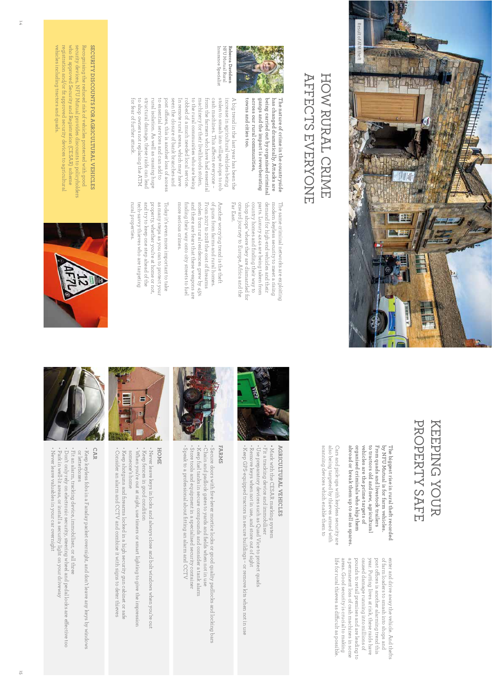

### AFFECTS EVERYONE HOW RURAL CRIME AFFECTS EVERYONE HOW RURAL CRIME



**has changed dramatically. Attacks are The nature of crime in the countryside** 

has changed dramatically. Attacks are

The nature of crime in the countryside

Insurance Specialist NFU Mutual Rural Insurance Specialist NFU Mutual Rural Rebecca Davidson **Rebecca Davidson** 

cash machines. This affects everyone cash machines. This a stolen to smash into village shops to rob stolen to smash into village shops to rob increase in agricultural vehicles being increase in agricultural vehicles being A big trend in the last year has been the **towns** across our rural communities, **across our rural communities,**  gangs and the impact is reverberating **gangs and the impact is reverberating**  being carried out by organised criminal **being carried out by organised criminal**  A big trend in the last year has been the **and cities too.** 

for tear of further attack. to shop owners not replacing the ATM to shop owners not replacing the ATM structural damage, these raids can leac structural damage, these raids can lead rural isolation. As well as causing huge rural isolation. As well as causing huge to essential services and can add to to essential services and can add to post o fseen the closure of bank branches and seen the closure of bank branches and In remote rural areas, which may have In remote rural areas, which may have robbed of a much needed local service. robbed of a much needed local service. to the rural communities who are being to the rural communities who are being machinery for their livelihoods stolen, machinery for their livelihoods stolen, from the farmers who have had essential trom the farmers who have had essentia fear of further attack. ces, this is another loss of access ects everyone –

> demand tor high-end vehicles and their Far East Far East. onward journey to Europe, Africa and the onward journey to 'chop shops' where they are dismantled for country homes and finding their way to country homes and finding their way to parts. Luxury 4x4s are being taken trom parts. Luxury 4x4s are being taken from demand for high-end vehicles and their modern keyless security to meet a rising modern keyless security to meet a rising The same criminal networks are exploiting The same criminal networks are exploiting chop shops' where they are dismantled for Europe, Africa and the

more serious crimes. more serious crimes. h nding their way onto city streets to fue! finding their way onto city streets to fuel and there are fears that these weapons are and there are fears that these weapons are stolen from rural residences grew by 45% stolen from rural residences grew by 45% From 2017 to 2018 the cost of firearms of guns trom farms and rural homes. of guns from farms and rural homes. Another worrying trend is the theft Another worrying trend is the theft 2017 to 2018 the cost of firearms

tech-savvy thieves who are targeting<br>rural properties. tech-savvy thieves who are targeting and try to keep one step ahead of the and try to keep one step ahead of the property, whether you're at home or not property, whether you're at home or not, as many steps as you can to protect your as many steps as you can to protect your Today it's even more important to take Today it's even more important to take properties.

Recognising the reduced risk of vehicles protected with good SECURITY DISCOUNTS FOR AGRICULTURAL VEHICLES registration and/or fit approved security devices to agricultural registration and/or fit approved security devices to agricultural who fit approved Security and Registration (CESAR) scheme who fit approved Security and Registration (CESAR) scheme security devices, NFU Mutual provides discounts to policyholders security devices, NFU Mutual provides discounts to policyholders Recognising the reduced risk of vehicles protected with good **SECURITY DISCOUNTS FOR AGRICULTURAL VEHICLES** 

vehicles including tractors and quads.

vehicles including tractors and quads



### PROPERTY SAFE KEEPING YOUR PROPERTY SAFE KEEPING YOUR

abroad or break them up to sell as spares organised criminals who ship them vehicles are the prime targets of to tractors old and new, agricultural From quads and livestock trailers by NFU Mutual is for farm vehicles. **abroad or break them up to sell as spares. organised criminals who ship them vehicles are the prime targets of to tractors old and new, agricultural From quads and livestock trailers by NFU Mutual is for farm vehicles.**  The biggest rise in rural theft recorded **The biggest rise in rural theft recorded** 

scanning devices which enable them to also being targeted by thieves armed with Cars and pick-ups with keyless security are scanning devices which enable them to also being targeted by thieves armed with Cars and pick-ups with keyless security are

> life for rural thieves as difficult as possible areas. Good security is crucial to making a permanent loss of cash machines in some pounds to retail premises and are leading to caused damage running into millions of year. Putting lives at risk, these raids have enter and drive away the vehicle. And thefts life for rural thieves as di areas. Good security is crucial to making a permanent loss of cash machines in some pounds to retail premises and are leading to caused damage running into millions of year. Putting lives at risk, these raids have post o fof farm loaders to smash into shops and enter and drive away the vehicle. And thefts ces is another alarming trend this cult as possible.



## **AGRICULTURAL VEHICLES AGRICULTURAL VEHICLES**

• Keep GPS-equipped tractors in secure buildings – or remove kits when not in use · Use preparatory devices such as Quad Vice to protect quads · Fit a tracking device and immobiliser Remove keys when not in use, and store out of sight • Remove keys when not in use, and store out of sight • Use preparatory devices such as Quad Vice to protect quads • Fit a tracking device and immobiliser • Mark with the CESAR marking system Keep GPS-equipped tractors in secure buildings – or remove kits when not in use Mark with the CESAR marking system



• Secure doors with five-lever mortice locks or good quality padlocks and locking bars Store tools and equipment in a specialised security container • Store tools and equipment in a specialised security container • Keep tuel tanks in secure compounds and consider a tank alarm • Keep fuel tanks in secure compounds and consider a tank alarm . Chain and padlock gates to yards and helds when not in use • Chain and padlock gates to yards and fields when not in use • Secure doors with five-lever mortice locks or good quality padlocks and locking bars

• Speak to a protessional about fitting an alarm and CCTV

Speak to a professional about fitting an alarm and CCTV



## **HOME**

. Keep shotguns and firearms locked in a high security gun cabinet or safe • Keep shotguns and firearms locked in a high security gun cabinet or safe • When you're out at night, use timers or smart lighting to give the impression • Keep fences in good condition When you're out at night, use timers or smart lighting to give the impression Keep tences in good condition • Never leave keys in locks and always close and bolt windows when you're out someone's home someone's home Never leave keys in locks and always close and bolt windows when you're out

• Consider an alarm and CCTV and combine it with signs to deter thieves

. Consider an alarm and CCTV and combine it with signs to deter thieves

**CAR** 

• Keep keyless fobs in a Faraday packet overnight, and don't leave any keys by windows or letterboxes or letterboxes Keep keyless fobs in a Faraday packet overnight, and don't leave any keys by windows

· Fit an alarm, tracking device, immobiliser, or all three • Never leave valuables in your car overnight • Never leave valuables in your car overnight • Park in well-lit areas, or install a security light on your driveway • Park in well-lit areas, or install a security light on your driveway - Don't only rely on electronic security, steering wheel and pedal locks are effective too • Don't only rely on electronic security, steering wheel and pedal locks are e• Fit an alarm, tracking device, immobiliser, or all three ective too